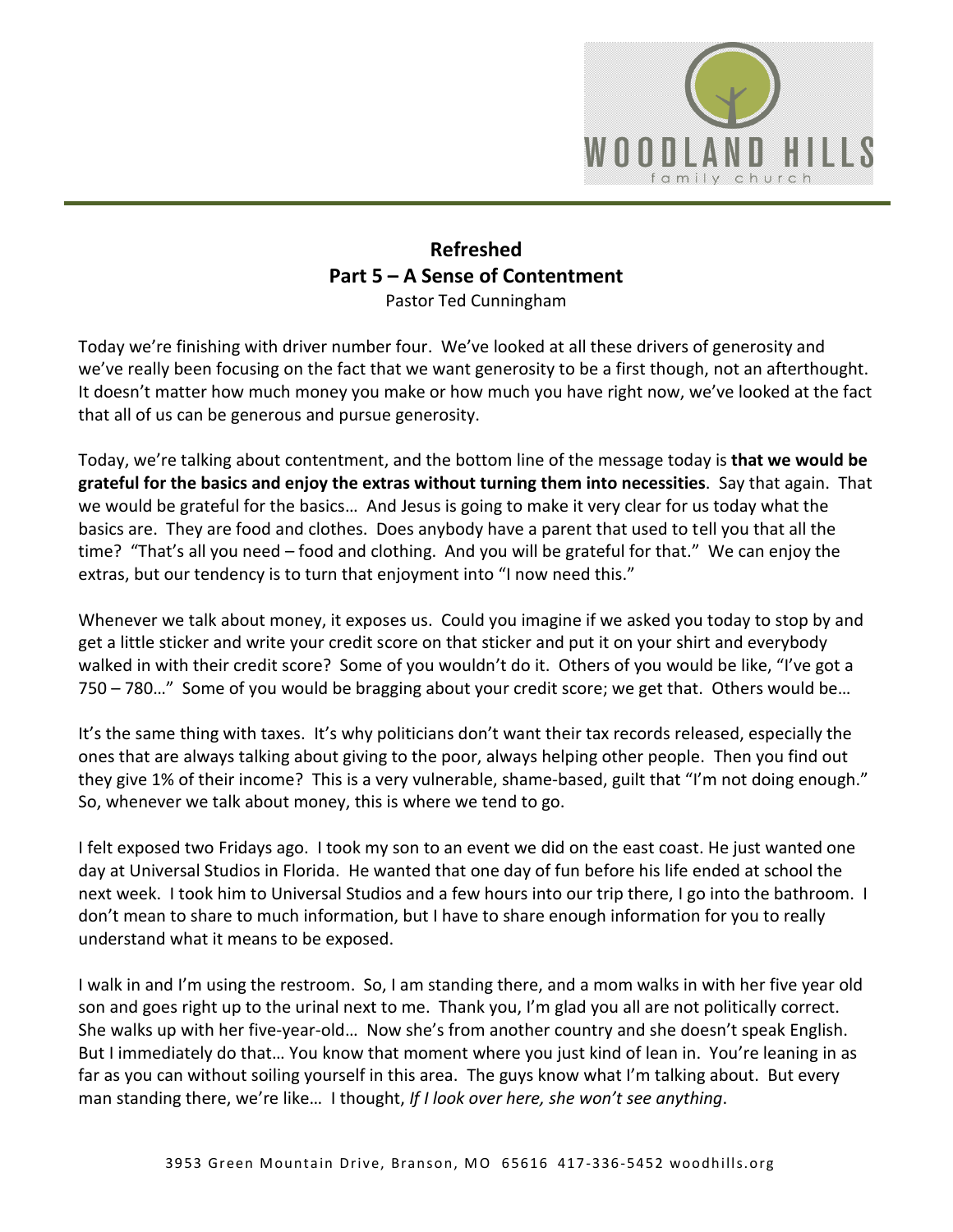

## **Refreshed Part 5 – A Sense of Contentment**  Pastor Ted Cunningham

Today we're finishing with driver number four. We've looked at all these drivers of generosity and we've really been focusing on the fact that we want generosity to be a first though, not an afterthought. It doesn't matter how much money you make or how much you have right now, we've looked at the fact that all of us can be generous and pursue generosity.

Today, we're talking about contentment, and the bottom line of the message today is **that we would be grateful for the basics and enjoy the extras without turning them into necessities**. Say that again. That we would be grateful for the basics… And Jesus is going to make it very clear for us today what the basics are. They are food and clothes. Does anybody have a parent that used to tell you that all the time? "That's all you need – food and clothing. And you will be grateful for that." We can enjoy the extras, but our tendency is to turn that enjoyment into "I now need this."

Whenever we talk about money, it exposes us. Could you imagine if we asked you today to stop by and get a little sticker and write your credit score on that sticker and put it on your shirt and everybody walked in with their credit score? Some of you wouldn't do it. Others of you would be like, "I've got a 750 – 780…" Some of you would be bragging about your credit score; we get that. Others would be…

It's the same thing with taxes. It's why politicians don't want their tax records released, especially the ones that are always talking about giving to the poor, always helping other people. Then you find out they give 1% of their income? This is a very vulnerable, shame-based, guilt that "I'm not doing enough." So, whenever we talk about money, this is where we tend to go.

I felt exposed two Fridays ago. I took my son to an event we did on the east coast. He just wanted one day at Universal Studios in Florida. He wanted that one day of fun before his life ended at school the next week. I took him to Universal Studios and a few hours into our trip there, I go into the bathroom. I don't mean to share to much information, but I have to share enough information for you to really understand what it means to be exposed.

I walk in and I'm using the restroom. So, I am standing there, and a mom walks in with her five year old son and goes right up to the urinal next to me. Thank you, I'm glad you all are not politically correct. She walks up with her five-year-old… Now she's from another country and she doesn't speak English. But I immediately do that… You know that moment where you just kind of lean in. You're leaning in as far as you can without soiling yourself in this area. The guys know what I'm talking about. But every man standing there, we're like… I thought, *If I look over here, she won't see anything*.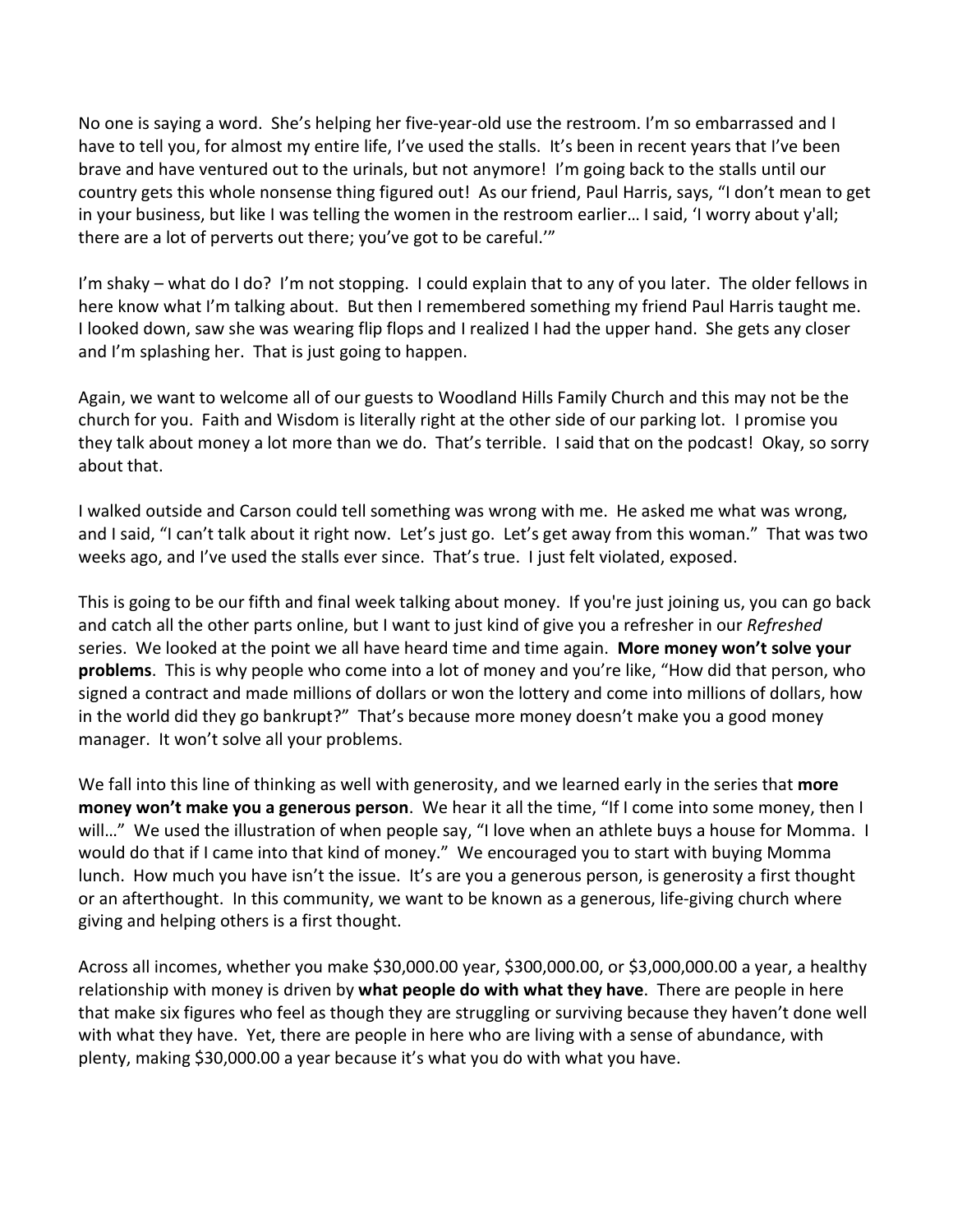No one is saying a word. She's helping her five-year-old use the restroom. I'm so embarrassed and I have to tell you, for almost my entire life, I've used the stalls. It's been in recent years that I've been brave and have ventured out to the urinals, but not anymore! I'm going back to the stalls until our country gets this whole nonsense thing figured out! As our friend, Paul Harris, says, "I don't mean to get in your business, but like I was telling the women in the restroom earlier… I said, 'I worry about y'all; there are a lot of perverts out there; you've got to be careful.'"

I'm shaky – what do I do? I'm not stopping. I could explain that to any of you later. The older fellows in here know what I'm talking about. But then I remembered something my friend Paul Harris taught me. I looked down, saw she was wearing flip flops and I realized I had the upper hand. She gets any closer and I'm splashing her. That is just going to happen.

Again, we want to welcome all of our guests to Woodland Hills Family Church and this may not be the church for you. Faith and Wisdom is literally right at the other side of our parking lot. I promise you they talk about money a lot more than we do. That's terrible. I said that on the podcast! Okay, so sorry about that.

I walked outside and Carson could tell something was wrong with me. He asked me what was wrong, and I said, "I can't talk about it right now. Let's just go. Let's get away from this woman." That was two weeks ago, and I've used the stalls ever since. That's true. I just felt violated, exposed.

This is going to be our fifth and final week talking about money. If you're just joining us, you can go back and catch all the other parts online, but I want to just kind of give you a refresher in our *Refreshed* series. We looked at the point we all have heard time and time again. **More money won't solve your problems**. This is why people who come into a lot of money and you're like, "How did that person, who signed a contract and made millions of dollars or won the lottery and come into millions of dollars, how in the world did they go bankrupt?" That's because more money doesn't make you a good money manager. It won't solve all your problems.

We fall into this line of thinking as well with generosity, and we learned early in the series that **more money won't make you a generous person**. We hear it all the time, "If I come into some money, then I will..." We used the illustration of when people say, "I love when an athlete buys a house for Momma. I would do that if I came into that kind of money." We encouraged you to start with buying Momma lunch. How much you have isn't the issue. It's are you a generous person, is generosity a first thought or an afterthought. In this community, we want to be known as a generous, life-giving church where giving and helping others is a first thought.

Across all incomes, whether you make \$30,000.00 year, \$300,000.00, or \$3,000,000.00 a year, a healthy relationship with money is driven by **what people do with what they have**. There are people in here that make six figures who feel as though they are struggling or surviving because they haven't done well with what they have. Yet, there are people in here who are living with a sense of abundance, with plenty, making \$30,000.00 a year because it's what you do with what you have.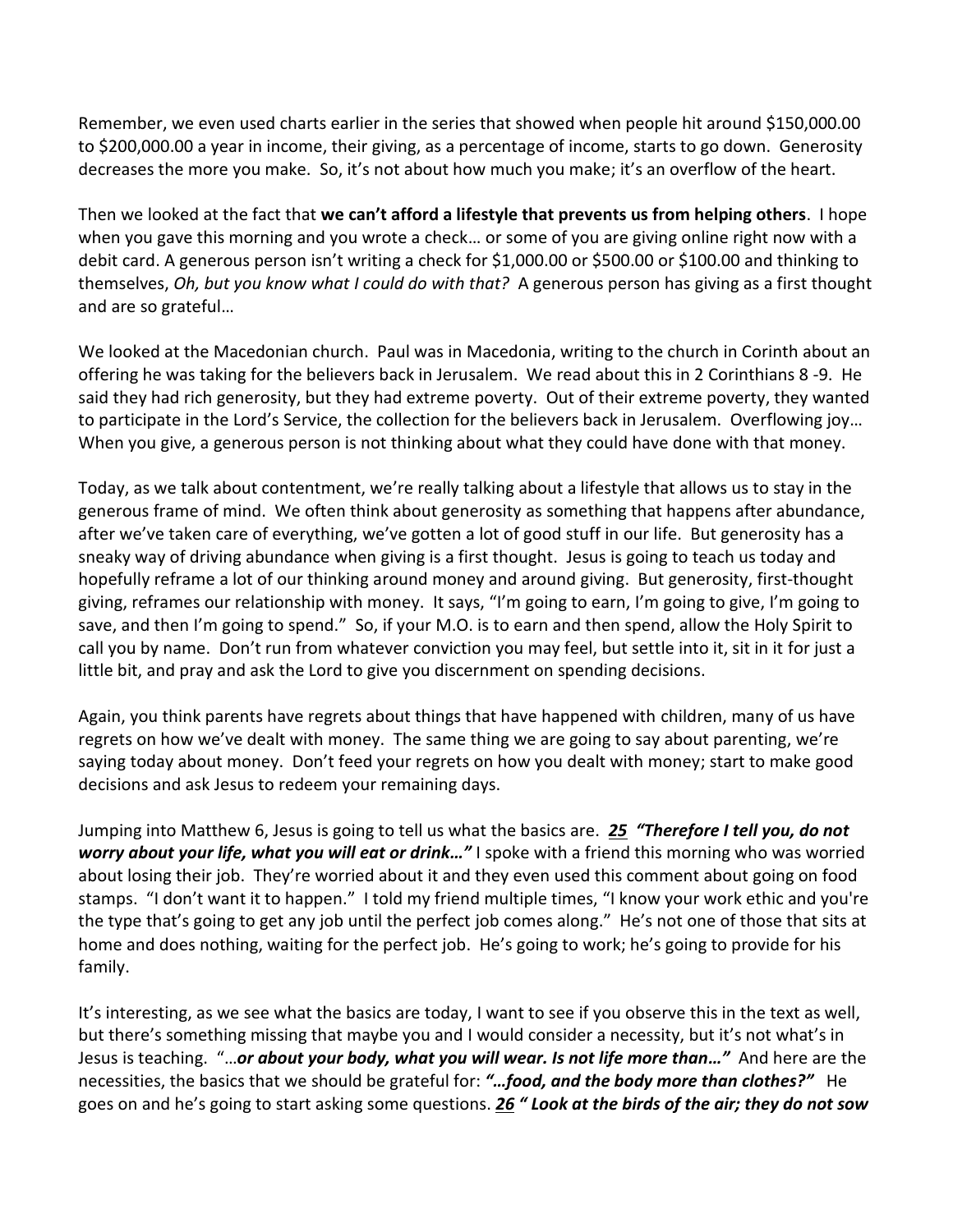Remember, we even used charts earlier in the series that showed when people hit around \$150,000.00 to \$200,000.00 a year in income, their giving, as a percentage of income, starts to go down. Generosity decreases the more you make. So, it's not about how much you make; it's an overflow of the heart.

Then we looked at the fact that **we can't afford a lifestyle that prevents us from helping others**. I hope when you gave this morning and you wrote a check… or some of you are giving online right now with a debit card. A generous person isn't writing a check for \$1,000.00 or \$500.00 or \$100.00 and thinking to themselves, *Oh, but you know what I could do with that?* A generous person has giving as a first thought and are so grateful…

We looked at the Macedonian church. Paul was in Macedonia, writing to the church in Corinth about an offering he was taking for the believers back in Jerusalem. We read about this in 2 Corinthians 8 -9. He said they had rich generosity, but they had extreme poverty. Out of their extreme poverty, they wanted to participate in the Lord's Service, the collection for the believers back in Jerusalem. Overflowing joy… When you give, a generous person is not thinking about what they could have done with that money.

Today, as we talk about contentment, we're really talking about a lifestyle that allows us to stay in the generous frame of mind. We often think about generosity as something that happens after abundance, after we've taken care of everything, we've gotten a lot of good stuff in our life. But generosity has a sneaky way of driving abundance when giving is a first thought. Jesus is going to teach us today and hopefully reframe a lot of our thinking around money and around giving. But generosity, first-thought giving, reframes our relationship with money. It says, "I'm going to earn, I'm going to give, I'm going to save, and then I'm going to spend." So, if your M.O. is to earn and then spend, allow the Holy Spirit to call you by name. Don't run from whatever conviction you may feel, but settle into it, sit in it for just a little bit, and pray and ask the Lord to give you discernment on spending decisions.

Again, you think parents have regrets about things that have happened with children, many of us have regrets on how we've dealt with money. The same thing we are going to say about parenting, we're saying today about money. Don't feed your regrets on how you dealt with money; start to make good decisions and ask Jesus to redeem your remaining days.

Jumping into Matthew 6, Jesus is going to tell us what the basics are. *[25](https://www.studylight.org/desk/?q=mt%206:25&t1=en_niv&sr=1) "Therefore I tell you, do not worry about your life, what you will eat or drink…"* I spoke with a friend this morning who was worried about losing their job. They're worried about it and they even used this comment about going on food stamps. "I don't want it to happen." I told my friend multiple times, "I know your work ethic and you're the type that's going to get any job until the perfect job comes along." He's not one of those that sits at home and does nothing, waiting for the perfect job. He's going to work; he's going to provide for his family.

It's interesting, as we see what the basics are today, I want to see if you observe this in the text as well, but there's something missing that maybe you and I would consider a necessity, but it's not what's in Jesus is teaching. "…*or about your body, what you will wear. Is not life more than…"* And here are the necessities, the basics that we should be grateful for: *"…food, and the body more than clothes?"* He goes on and he's going to start asking some questions. *[26](https://www.studylight.org/desk/?q=mt%206:26&t1=en_niv&sr=1) " Look at the birds of the air; they do not sow*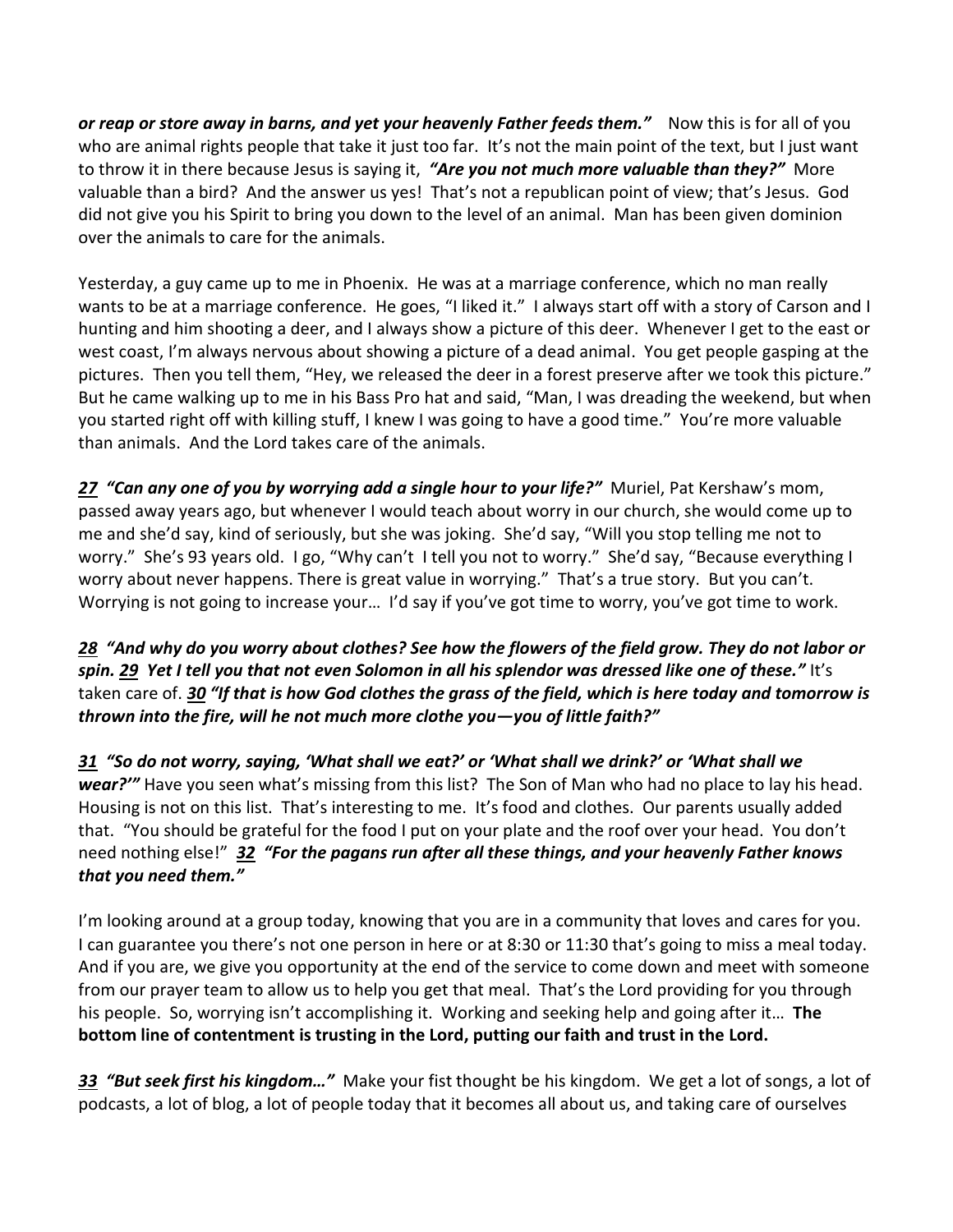*or reap or store away in barns, and yet your heavenly Father feeds them."* Now this is for all of you who are animal rights people that take it just too far. It's not the main point of the text, but I just want to throw it in there because Jesus is saying it, *"Are you not much more valuable than they?"* More valuable than a bird? And the answer us yes! That's not a republican point of view; that's Jesus. God did not give you his Spirit to bring you down to the level of an animal. Man has been given dominion over the animals to care for the animals.

Yesterday, a guy came up to me in Phoenix. He was at a marriage conference, which no man really wants to be at a marriage conference. He goes, "I liked it." I always start off with a story of Carson and I hunting and him shooting a deer, and I always show a picture of this deer. Whenever I get to the east or west coast, I'm always nervous about showing a picture of a dead animal. You get people gasping at the pictures. Then you tell them, "Hey, we released the deer in a forest preserve after we took this picture." But he came walking up to me in his Bass Pro hat and said, "Man, I was dreading the weekend, but when you started right off with killing stuff, I knew I was going to have a good time." You're more valuable than animals. And the Lord takes care of the animals.

*[27](https://www.studylight.org/desk/?q=mt%206:27&t1=en_niv&sr=1) "Can any one of you by worrying add a single hour to your life?"* Muriel, Pat Kershaw's mom, passed away years ago, but whenever I would teach about worry in our church, she would come up to me and she'd say, kind of seriously, but she was joking. She'd say, "Will you stop telling me not to worry." She's 93 years old. I go, "Why can't I tell you not to worry." She'd say, "Because everything I worry about never happens. There is great value in worrying." That's a true story. But you can't. Worrying is not going to increase your… I'd say if you've got time to worry, you've got time to work.

*[28](https://www.studylight.org/desk/?q=mt%206:28&t1=en_niv&sr=1) "And why do you worry about clothes? See how the flowers of the field grow. They do not labor or spin. [29](https://www.studylight.org/desk/?q=mt%206:29&t1=en_niv&sr=1) Yet I tell you that not even Solomon in all his splendor was dressed like one of these."* It's taken care of. *[30](https://www.studylight.org/desk/?q=mt%206:30&t1=en_niv&sr=1) "If that is how God clothes the grass of the field, which is here today and tomorrow is thrown into the fire, will he not much more clothe you—you of little faith?"* 

*[31](https://www.studylight.org/desk/?q=mt%206:31&t1=en_niv&sr=1) "So do not worry, saying, 'What shall we eat?' or 'What shall we drink?' or 'What shall we wear?'"* Have you seen what's missing from this list? The Son of Man who had no place to lay his head. Housing is not on this list. That's interesting to me. It's food and clothes. Our parents usually added that. "You should be grateful for the food I put on your plate and the roof over your head. You don't need nothing else!" *[32](https://www.studylight.org/desk/?q=mt%206:32&t1=en_niv&sr=1) "For the pagans run after all these things, and your heavenly Father knows that you need them."* 

I'm looking around at a group today, knowing that you are in a community that loves and cares for you. I can guarantee you there's not one person in here or at 8:30 or 11:30 that's going to miss a meal today. And if you are, we give you opportunity at the end of the service to come down and meet with someone from our prayer team to allow us to help you get that meal. That's the Lord providing for you through his people. So, worrying isn't accomplishing it. Working and seeking help and going after it… **The bottom line of contentment is trusting in the Lord, putting our faith and trust in the Lord.** 

*[33](https://www.studylight.org/desk/?q=mt%206:33&t1=en_niv&sr=1) "But seek first his kingdom…"* Make your fist thought be his kingdom. We get a lot of songs, a lot of podcasts, a lot of blog, a lot of people today that it becomes all about us, and taking care of ourselves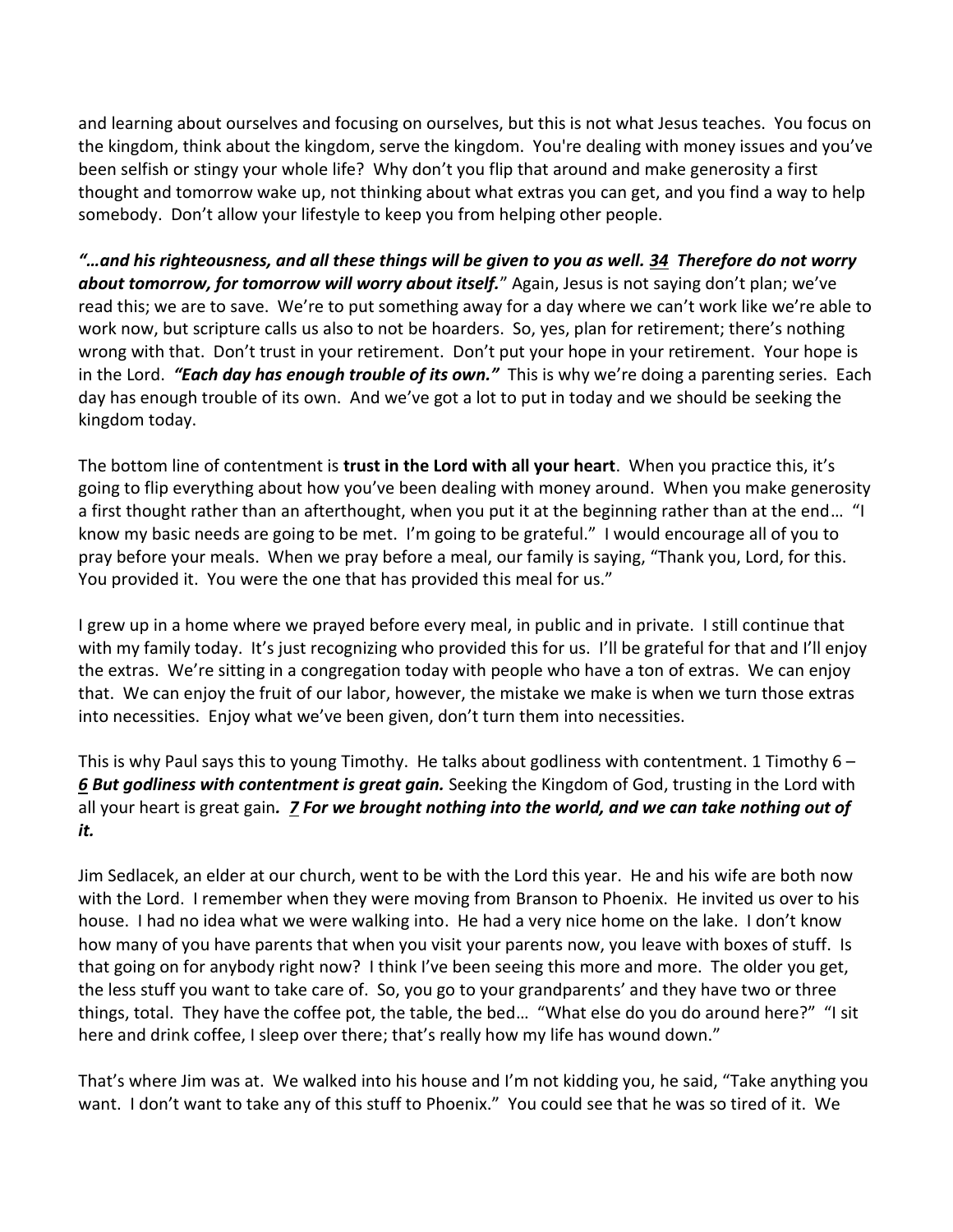and learning about ourselves and focusing on ourselves, but this is not what Jesus teaches. You focus on the kingdom, think about the kingdom, serve the kingdom. You're dealing with money issues and you've been selfish or stingy your whole life? Why don't you flip that around and make generosity a first thought and tomorrow wake up, not thinking about what extras you can get, and you find a way to help somebody. Don't allow your lifestyle to keep you from helping other people.

*"…and his righteousness, and all these things will be given to you as well. [34](https://www.studylight.org/desk/?q=mt%206:34&t1=en_niv&sr=1) Therefore do not worry about tomorrow, for tomorrow will worry about itself.*" Again, Jesus is not saying don't plan; we've read this; we are to save. We're to put something away for a day where we can't work like we're able to work now, but scripture calls us also to not be hoarders. So, yes, plan for retirement; there's nothing wrong with that. Don't trust in your retirement. Don't put your hope in your retirement. Your hope is in the Lord. *"Each day has enough trouble of its own."* This is why we're doing a parenting series. Each day has enough trouble of its own. And we've got a lot to put in today and we should be seeking the kingdom today.

The bottom line of contentment is **trust in the Lord with all your heart**. When you practice this, it's going to flip everything about how you've been dealing with money around. When you make generosity a first thought rather than an afterthought, when you put it at the beginning rather than at the end… "I know my basic needs are going to be met. I'm going to be grateful." I would encourage all of you to pray before your meals. When we pray before a meal, our family is saying, "Thank you, Lord, for this. You provided it. You were the one that has provided this meal for us."

I grew up in a home where we prayed before every meal, in public and in private. I still continue that with my family today. It's just recognizing who provided this for us. I'll be grateful for that and I'll enjoy the extras. We're sitting in a congregation today with people who have a ton of extras. We can enjoy that. We can enjoy the fruit of our labor, however, the mistake we make is when we turn those extras into necessities. Enjoy what we've been given, don't turn them into necessities.

This is why Paul says this to young Timothy. He talks about godliness with contentment. 1 Timothy 6 – *[6](https://www.studylight.org/desk/?q=1ti%206:6&t1=en_niv&sr=1) But godliness with contentment is great gain.* Seeking the Kingdom of God, trusting in the Lord with all your heart is great gain*. [7](https://www.studylight.org/desk/?q=1ti%206:7&t1=en_niv&sr=1) For we brought nothing into the world, and we can take nothing out of it.* 

Jim Sedlacek, an elder at our church, went to be with the Lord this year. He and his wife are both now with the Lord. I remember when they were moving from Branson to Phoenix. He invited us over to his house. I had no idea what we were walking into. He had a very nice home on the lake. I don't know how many of you have parents that when you visit your parents now, you leave with boxes of stuff. Is that going on for anybody right now? I think I've been seeing this more and more. The older you get, the less stuff you want to take care of. So, you go to your grandparents' and they have two or three things, total. They have the coffee pot, the table, the bed… "What else do you do around here?" "I sit here and drink coffee, I sleep over there; that's really how my life has wound down."

That's where Jim was at. We walked into his house and I'm not kidding you, he said, "Take anything you want. I don't want to take any of this stuff to Phoenix." You could see that he was so tired of it. We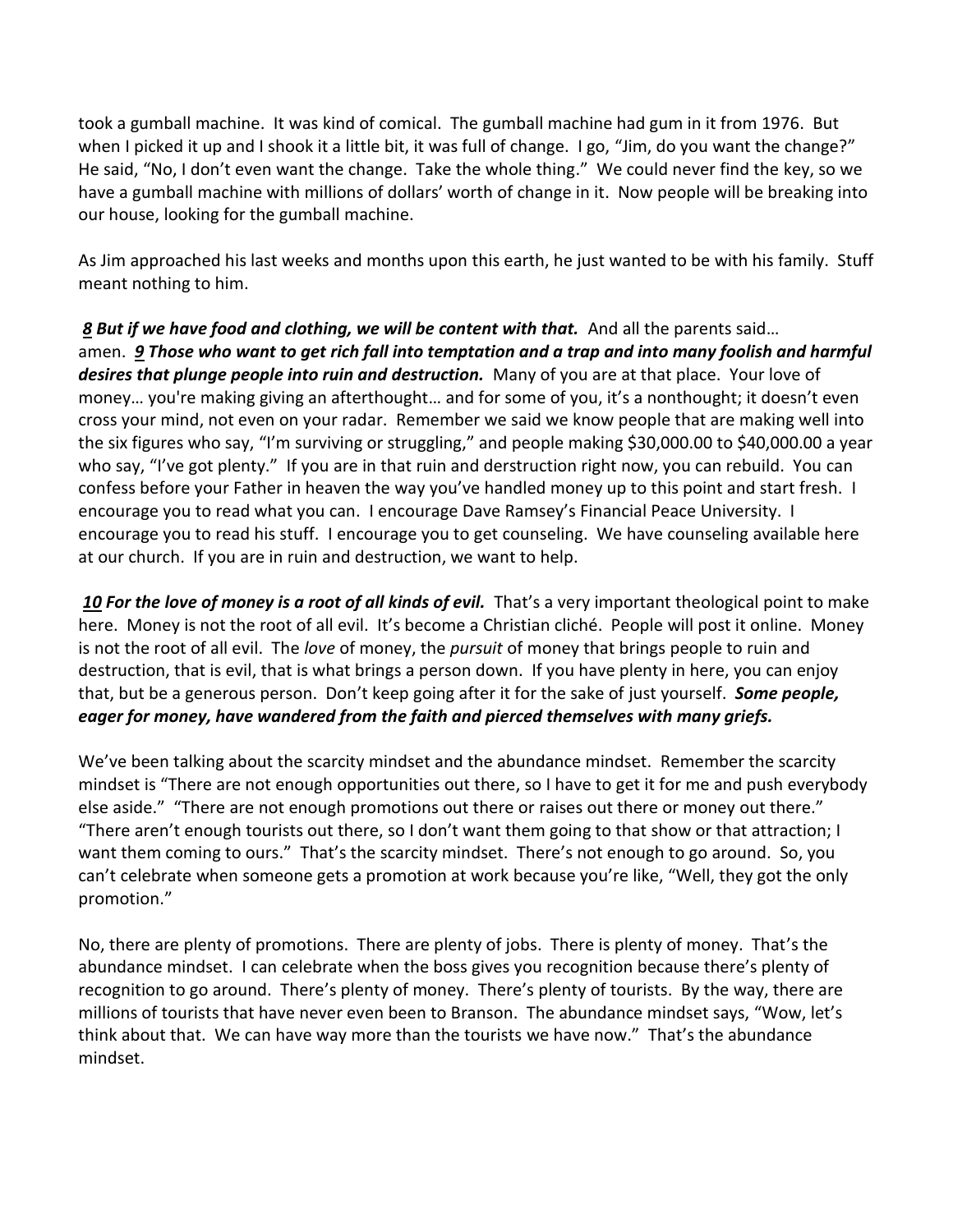took a gumball machine. It was kind of comical. The gumball machine had gum in it from 1976. But when I picked it up and I shook it a little bit, it was full of change. I go, "Jim, do you want the change?" He said, "No, I don't even want the change. Take the whole thing." We could never find the key, so we have a gumball machine with millions of dollars' worth of change in it. Now people will be breaking into our house, looking for the gumball machine.

As Jim approached his last weeks and months upon this earth, he just wanted to be with his family. Stuff meant nothing to him.

 *[8](https://www.studylight.org/desk/?q=1ti%206:8&t1=en_niv&sr=1) But if we have food and clothing, we will be content with that.* And all the parents said… amen. *[9](https://www.studylight.org/desk/?q=1ti%206:9&t1=en_niv&sr=1) Those who want to get rich fall into temptation and a trap and into many foolish and harmful desires that plunge people into ruin and destruction.* Many of you are at that place. Your love of money… you're making giving an afterthought… and for some of you, it's a nonthought; it doesn't even cross your mind, not even on your radar. Remember we said we know people that are making well into the six figures who say, "I'm surviving or struggling," and people making \$30,000.00 to \$40,000.00 a year who say, "I've got plenty." If you are in that ruin and derstruction right now, you can rebuild. You can confess before your Father in heaven the way you've handled money up to this point and start fresh. I encourage you to read what you can. I encourage Dave Ramsey's Financial Peace University. I encourage you to read his stuff. I encourage you to get counseling. We have counseling available here at our church. If you are in ruin and destruction, we want to help.

*[10](https://www.studylight.org/desk/?q=1ti%206:10&t1=en_niv&sr=1) For the love of money is a root of all kinds of evil.* That's a very important theological point to make here. Money is not the root of all evil. It's become a Christian cliché. People will post it online. Money is not the root of all evil. The *love* of money, the *pursuit* of money that brings people to ruin and destruction, that is evil, that is what brings a person down. If you have plenty in here, you can enjoy that, but be a generous person. Don't keep going after it for the sake of just yourself. *Some people, eager for money, have wandered from the faith and pierced themselves with many griefs.*

We've been talking about the scarcity mindset and the abundance mindset. Remember the scarcity mindset is "There are not enough opportunities out there, so I have to get it for me and push everybody else aside." "There are not enough promotions out there or raises out there or money out there." "There aren't enough tourists out there, so I don't want them going to that show or that attraction; I want them coming to ours." That's the scarcity mindset. There's not enough to go around. So, you can't celebrate when someone gets a promotion at work because you're like, "Well, they got the only promotion."

No, there are plenty of promotions. There are plenty of jobs. There is plenty of money. That's the abundance mindset. I can celebrate when the boss gives you recognition because there's plenty of recognition to go around. There's plenty of money. There's plenty of tourists. By the way, there are millions of tourists that have never even been to Branson. The abundance mindset says, "Wow, let's think about that. We can have way more than the tourists we have now." That's the abundance mindset.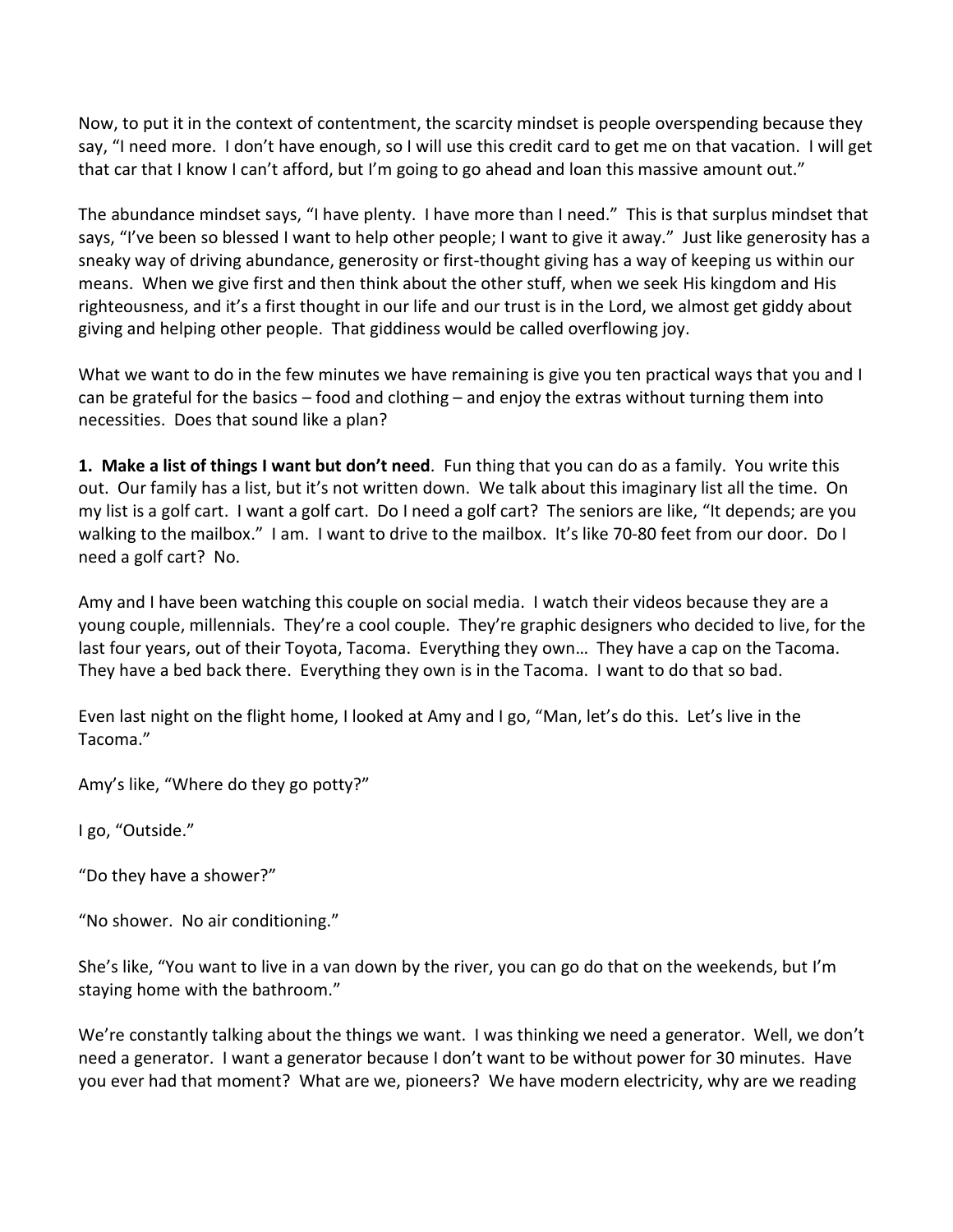Now, to put it in the context of contentment, the scarcity mindset is people overspending because they say, "I need more. I don't have enough, so I will use this credit card to get me on that vacation. I will get that car that I know I can't afford, but I'm going to go ahead and loan this massive amount out."

The abundance mindset says, "I have plenty. I have more than I need." This is that surplus mindset that says, "I've been so blessed I want to help other people; I want to give it away." Just like generosity has a sneaky way of driving abundance, generosity or first-thought giving has a way of keeping us within our means. When we give first and then think about the other stuff, when we seek His kingdom and His righteousness, and it's a first thought in our life and our trust is in the Lord, we almost get giddy about giving and helping other people. That giddiness would be called overflowing joy.

What we want to do in the few minutes we have remaining is give you ten practical ways that you and I can be grateful for the basics – food and clothing – and enjoy the extras without turning them into necessities. Does that sound like a plan?

**1. Make a list of things I want but don't need**. Fun thing that you can do as a family. You write this out. Our family has a list, but it's not written down. We talk about this imaginary list all the time. On my list is a golf cart. I want a golf cart. Do I need a golf cart? The seniors are like, "It depends; are you walking to the mailbox." I am. I want to drive to the mailbox. It's like 70-80 feet from our door. Do I need a golf cart? No.

Amy and I have been watching this couple on social media. I watch their videos because they are a young couple, millennials. They're a cool couple. They're graphic designers who decided to live, for the last four years, out of their Toyota, Tacoma. Everything they own… They have a cap on the Tacoma. They have a bed back there. Everything they own is in the Tacoma. I want to do that so bad.

Even last night on the flight home, I looked at Amy and I go, "Man, let's do this. Let's live in the Tacoma."

Amy's like, "Where do they go potty?"

I go, "Outside."

"Do they have a shower?"

"No shower. No air conditioning."

She's like, "You want to live in a van down by the river, you can go do that on the weekends, but I'm staying home with the bathroom."

We're constantly talking about the things we want. I was thinking we need a generator. Well, we don't need a generator. I want a generator because I don't want to be without power for 30 minutes. Have you ever had that moment? What are we, pioneers? We have modern electricity, why are we reading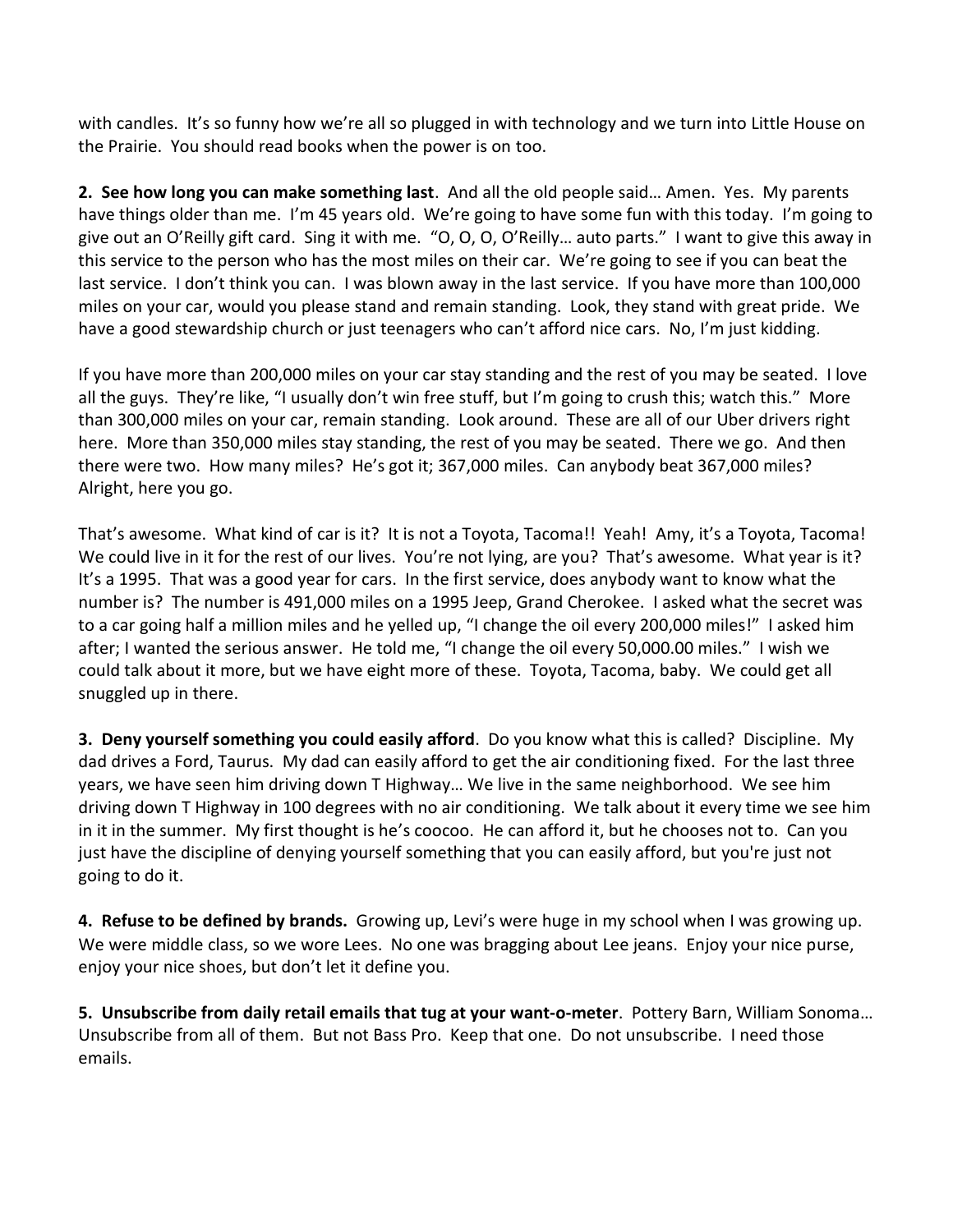with candles. It's so funny how we're all so plugged in with technology and we turn into Little House on the Prairie. You should read books when the power is on too.

**2. See how long you can make something last**. And all the old people said… Amen. Yes. My parents have things older than me. I'm 45 years old. We're going to have some fun with this today. I'm going to give out an O'Reilly gift card. Sing it with me. "O, O, O, O'Reilly… auto parts." I want to give this away in this service to the person who has the most miles on their car. We're going to see if you can beat the last service. I don't think you can. I was blown away in the last service. If you have more than 100,000 miles on your car, would you please stand and remain standing. Look, they stand with great pride. We have a good stewardship church or just teenagers who can't afford nice cars. No, I'm just kidding.

If you have more than 200,000 miles on your car stay standing and the rest of you may be seated. I love all the guys. They're like, "I usually don't win free stuff, but I'm going to crush this; watch this." More than 300,000 miles on your car, remain standing. Look around. These are all of our Uber drivers right here. More than 350,000 miles stay standing, the rest of you may be seated. There we go. And then there were two. How many miles? He's got it; 367,000 miles. Can anybody beat 367,000 miles? Alright, here you go.

That's awesome. What kind of car is it? It is not a Toyota, Tacoma!! Yeah! Amy, it's a Toyota, Tacoma! We could live in it for the rest of our lives. You're not lying, are you? That's awesome. What year is it? It's a 1995. That was a good year for cars. In the first service, does anybody want to know what the number is? The number is 491,000 miles on a 1995 Jeep, Grand Cherokee. I asked what the secret was to a car going half a million miles and he yelled up, "I change the oil every 200,000 miles!" I asked him after; I wanted the serious answer. He told me, "I change the oil every 50,000.00 miles." I wish we could talk about it more, but we have eight more of these. Toyota, Tacoma, baby. We could get all snuggled up in there.

**3. Deny yourself something you could easily afford**. Do you know what this is called? Discipline. My dad drives a Ford, Taurus. My dad can easily afford to get the air conditioning fixed. For the last three years, we have seen him driving down T Highway… We live in the same neighborhood. We see him driving down T Highway in 100 degrees with no air conditioning. We talk about it every time we see him in it in the summer. My first thought is he's coocoo. He can afford it, but he chooses not to. Can you just have the discipline of denying yourself something that you can easily afford, but you're just not going to do it.

**4. Refuse to be defined by brands.** Growing up, Levi's were huge in my school when I was growing up. We were middle class, so we wore Lees. No one was bragging about Lee jeans. Enjoy your nice purse, enjoy your nice shoes, but don't let it define you.

**5. Unsubscribe from daily retail emails that tug at your want-o-meter**. Pottery Barn, William Sonoma… Unsubscribe from all of them. But not Bass Pro. Keep that one. Do not unsubscribe. I need those emails.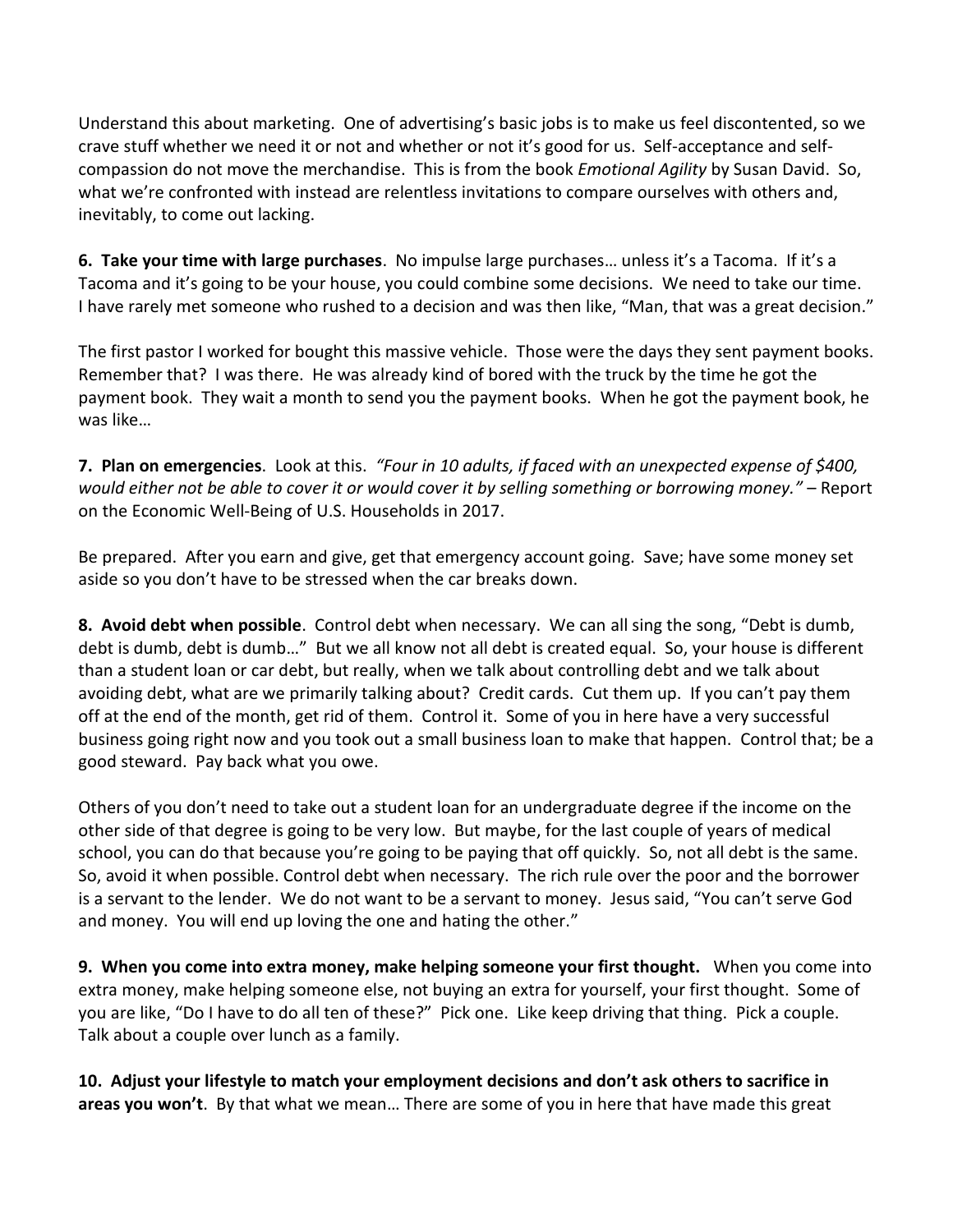Understand this about marketing. One of advertising's basic jobs is to make us feel discontented, so we crave stuff whether we need it or not and whether or not it's good for us. Self-acceptance and selfcompassion do not move the merchandise. This is from the book *Emotional Agility* by Susan David. So, what we're confronted with instead are relentless invitations to compare ourselves with others and, inevitably, to come out lacking.

**6. Take your time with large purchases**. No impulse large purchases… unless it's a Tacoma. If it's a Tacoma and it's going to be your house, you could combine some decisions. We need to take our time. I have rarely met someone who rushed to a decision and was then like, "Man, that was a great decision."

The first pastor I worked for bought this massive vehicle. Those were the days they sent payment books. Remember that? I was there. He was already kind of bored with the truck by the time he got the payment book. They wait a month to send you the payment books. When he got the payment book, he was like…

**7. Plan on emergencies**. Look at this. *"Four in 10 adults, if faced with an unexpected expense of \$400, would either not be able to cover it or would cover it by selling something or borrowing money."* – Report on the Economic Well-Being of U.S. Households in 2017.

Be prepared. After you earn and give, get that emergency account going. Save; have some money set aside so you don't have to be stressed when the car breaks down.

**8. Avoid debt when possible**. Control debt when necessary. We can all sing the song, "Debt is dumb, debt is dumb, debt is dumb…" But we all know not all debt is created equal. So, your house is different than a student loan or car debt, but really, when we talk about controlling debt and we talk about avoiding debt, what are we primarily talking about? Credit cards. Cut them up. If you can't pay them off at the end of the month, get rid of them. Control it. Some of you in here have a very successful business going right now and you took out a small business loan to make that happen. Control that; be a good steward. Pay back what you owe.

Others of you don't need to take out a student loan for an undergraduate degree if the income on the other side of that degree is going to be very low. But maybe, for the last couple of years of medical school, you can do that because you're going to be paying that off quickly. So, not all debt is the same. So, avoid it when possible. Control debt when necessary. The rich rule over the poor and the borrower is a servant to the lender. We do not want to be a servant to money. Jesus said, "You can't serve God and money. You will end up loving the one and hating the other."

**9. When you come into extra money, make helping someone your first thought.** When you come into extra money, make helping someone else, not buying an extra for yourself, your first thought. Some of you are like, "Do I have to do all ten of these?" Pick one. Like keep driving that thing. Pick a couple. Talk about a couple over lunch as a family.

**10. Adjust your lifestyle to match your employment decisions and don't ask others to sacrifice in areas you won't**. By that what we mean… There are some of you in here that have made this great